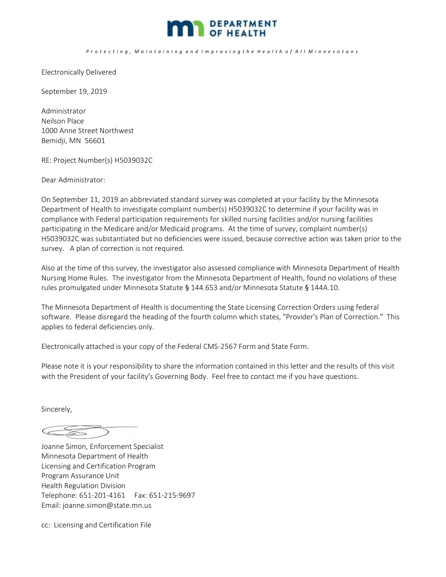

P r o t e c t i n g , M a i n t a i n i n g a n d I m p r o v i n g t h e H e a l t h o f A l l M i n n e s o t a n s

Electronically Delivered

September 19, 2019

Administrator Neilson Place 1000 Anne Street Northwest Bemidji, MN 56601

RE: Project Number(s) H5039032C

Dear Administrator:

On September 11, 2019 an abbreviated standard survey was completed at your facility by the Minnesota Department of Health to investigate complaint number(s) H5039032C to determine if your facility was in compliance with Federal participation requirements for skilled nursing facilities and/or nursing facilities participating in the Medicare and/or Medicaid programs. At the time of survey, complaint number(s) H5039032C was substantiated but no deficiencies were issued, because corrective action was taken prior to the survey. A plan of correction is not required.

Also at the time of this survey, the investigator also assessed compliance with Minnesota Department of Health Nursing Home Rules. The investigator from the Minnesota Department of Health, found no violations of these rules promulgated under Minnesota Statute § 144.653 and/or Minnesota Statute § 144A.10.

The Minnesota Department of Health is documenting the State Licensing Correction Orders using federal software. Please disregard the heading of the fourth column which states, "Provider's Plan of Correction." This applies to federal deficiencies only.

Electronically attached is your copy of the Federal CMS-2567 Form and State Form.

Please note it is your responsibility to share the information contained in this letter and the results of this visit with the President of your facility's Governing Body. Feel free to contact me if you have questions.

Sincerely,

Joanne Simon, Enforcement Specialist Minnesota Department of Health Licensing and Certification Program Program Assurance Unit Health Regulation Division Telephone: 651-201-4161 Fax: 651-215-9697 Email: joanne.simon@state.mn.us

cc: Licensing and Certification File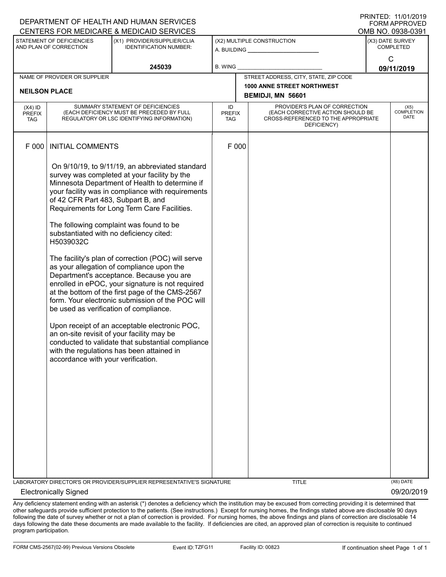| FUNIMAFFNUVED<br>CENTERS FOR MEDICARE & MEDICAID SERVICES<br>OMB NO. 0938-0391 |                                                                                                                                                                                                                                                                                                                                                                                                                                                                                                                                                                                                                                                                                                                                                                                                                                                                                                                                                                                           |                                                                       |                            |  |                                                                                                                          |                                      |             |  |
|--------------------------------------------------------------------------------|-------------------------------------------------------------------------------------------------------------------------------------------------------------------------------------------------------------------------------------------------------------------------------------------------------------------------------------------------------------------------------------------------------------------------------------------------------------------------------------------------------------------------------------------------------------------------------------------------------------------------------------------------------------------------------------------------------------------------------------------------------------------------------------------------------------------------------------------------------------------------------------------------------------------------------------------------------------------------------------------|-----------------------------------------------------------------------|----------------------------|--|--------------------------------------------------------------------------------------------------------------------------|--------------------------------------|-------------|--|
| STATEMENT OF DEFICIENCIES<br>AND PLAN OF CORRECTION                            |                                                                                                                                                                                                                                                                                                                                                                                                                                                                                                                                                                                                                                                                                                                                                                                                                                                                                                                                                                                           | (X1) PROVIDER/SUPPLIER/CLIA<br><b>IDENTIFICATION NUMBER:</b>          | (X2) MULTIPLE CONSTRUCTION |  |                                                                                                                          | (X3) DATE SURVEY<br><b>COMPLETED</b> |             |  |
|                                                                                |                                                                                                                                                                                                                                                                                                                                                                                                                                                                                                                                                                                                                                                                                                                                                                                                                                                                                                                                                                                           | 245039                                                                | <b>B. WING</b>             |  |                                                                                                                          | C<br>09/11/2019                      |             |  |
| NAME OF PROVIDER OR SUPPLIER                                                   |                                                                                                                                                                                                                                                                                                                                                                                                                                                                                                                                                                                                                                                                                                                                                                                                                                                                                                                                                                                           |                                                                       |                            |  | STREET ADDRESS, CITY, STATE, ZIP CODE                                                                                    |                                      |             |  |
| <b>NEILSON PLACE</b>                                                           |                                                                                                                                                                                                                                                                                                                                                                                                                                                                                                                                                                                                                                                                                                                                                                                                                                                                                                                                                                                           |                                                                       |                            |  | <b>1000 ANNE STREET NORTHWEST</b><br>BEMIDJI, MN 56601                                                                   |                                      |             |  |
| $(X4)$ ID<br>PREFIX<br>TAG                                                     | SUMMARY STATEMENT OF DEFICIENCIES<br>(EACH DEFICIENCY MUST BE PRECEDED BY FULL<br>REGULATORY OR LSC IDENTIFYING INFORMATION)                                                                                                                                                                                                                                                                                                                                                                                                                                                                                                                                                                                                                                                                                                                                                                                                                                                              |                                                                       | ID<br><b>PREFIX</b><br>TAG |  | PROVIDER'S PLAN OF CORRECTION<br>(EACH CORRECTIVE ACTION SHOULD BE<br>CROSS-REFERENCED TO THE APPROPRIATE<br>DEFICIENCY) | (X5)<br><b>COMPLETION</b><br>DATE    |             |  |
| F 000                                                                          | <b>INITIAL COMMENTS</b>                                                                                                                                                                                                                                                                                                                                                                                                                                                                                                                                                                                                                                                                                                                                                                                                                                                                                                                                                                   |                                                                       | F 000                      |  |                                                                                                                          |                                      |             |  |
|                                                                                | On 9/10/19, to 9/11/19, an abbreviated standard<br>survey was completed at your facility by the<br>Minnesota Department of Health to determine if<br>your facility was in compliance with requirements<br>of 42 CFR Part 483, Subpart B, and<br>Requirements for Long Term Care Facilities.<br>The following complaint was found to be<br>substantiated with no deficiency cited:<br>H5039032C<br>The facility's plan of correction (POC) will serve<br>as your allegation of compliance upon the<br>Department's acceptance. Because you are<br>enrolled in ePOC, your signature is not required<br>at the bottom of the first page of the CMS-2567<br>form. Your electronic submission of the POC will<br>be used as verification of compliance.<br>Upon receipt of an acceptable electronic POC,<br>an on-site revisit of your facility may be<br>conducted to validate that substantial compliance<br>with the regulations has been attained in<br>accordance with your verification. |                                                                       |                            |  |                                                                                                                          |                                      |             |  |
|                                                                                |                                                                                                                                                                                                                                                                                                                                                                                                                                                                                                                                                                                                                                                                                                                                                                                                                                                                                                                                                                                           | LABORATORY DIRECTOR'S OR PROVIDER/SUPPLIER REPRESENTATIVE'S SIGNATURE |                            |  | TITLE                                                                                                                    |                                      | $(X6)$ DATE |  |

Electronically Signed 09/20/2019

Any deficiency statement ending with an asterisk (\*) denotes a deficiency which the institution may be excused from correcting providing it is determined that other safeguards provide sufficient protection to the patients. (See instructions.) Except for nursing homes, the findings stated above are disclosable 90 days following the date of survey whether or not a plan of correction is provided. For nursing homes, the above findings and plans of correction are disclosable 14 days following the date these documents are made available to the facility. If deficiencies are cited, an approved plan of correction is requisite to continued program participation.

DEPARTMENT OF HEALTH AND HUMAN SERVICES

PRINTED: 11/01/2019 FORM APPROVED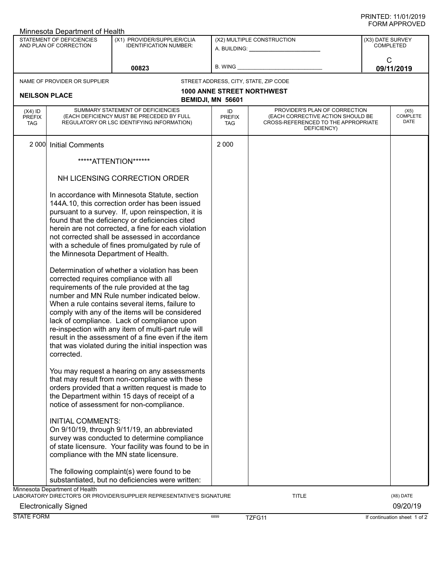## PRINTED: 11/01/2019 FORM APPROVED

|                                                     | Minnesota Department of Health                        |                                                                                                                                                                                                                                                                                                                                                                                                                                                                                                                |                                                           |                                                                                                                          |                                 |
|-----------------------------------------------------|-------------------------------------------------------|----------------------------------------------------------------------------------------------------------------------------------------------------------------------------------------------------------------------------------------------------------------------------------------------------------------------------------------------------------------------------------------------------------------------------------------------------------------------------------------------------------------|-----------------------------------------------------------|--------------------------------------------------------------------------------------------------------------------------|---------------------------------|
| STATEMENT OF DEFICIENCIES<br>AND PLAN OF CORRECTION |                                                       | (X1) PROVIDER/SUPPLIER/CLIA<br><b>IDENTIFICATION NUMBER:</b>                                                                                                                                                                                                                                                                                                                                                                                                                                                   | (X2) MULTIPLE CONSTRUCTION<br>A. BUILDING: ______________ | (X3) DATE SURVEY<br><b>COMPLETED</b>                                                                                     |                                 |
|                                                     |                                                       | 00823                                                                                                                                                                                                                                                                                                                                                                                                                                                                                                          | B. WING                                                   |                                                                                                                          | C<br>09/11/2019                 |
|                                                     | NAME OF PROVIDER OR SUPPLIER                          |                                                                                                                                                                                                                                                                                                                                                                                                                                                                                                                |                                                           | STREET ADDRESS, CITY, STATE, ZIP CODE                                                                                    |                                 |
| <b>NEILSON PLACE</b>                                |                                                       |                                                                                                                                                                                                                                                                                                                                                                                                                                                                                                                | BEMIDJI, MN 56601                                         | <b>1000 ANNE STREET NORTHWEST</b>                                                                                        |                                 |
| $(X4)$ ID<br><b>PREFIX</b><br><b>TAG</b>            |                                                       | SUMMARY STATEMENT OF DEFICIENCIES<br>(EACH DEFICIENCY MUST BE PRECEDED BY FULL<br>REGULATORY OR LSC IDENTIFYING INFORMATION)                                                                                                                                                                                                                                                                                                                                                                                   | ID<br><b>PREFIX</b><br>TAG                                | PROVIDER'S PLAN OF CORRECTION<br>(EACH CORRECTIVE ACTION SHOULD BE<br>CROSS-REFERENCED TO THE APPROPRIATE<br>DEFICIENCY) | (X5)<br><b>COMPLETE</b><br>DATE |
|                                                     | 2 000 Initial Comments                                |                                                                                                                                                                                                                                                                                                                                                                                                                                                                                                                | 2 0 0 0                                                   |                                                                                                                          |                                 |
|                                                     | *****ATTENTION******<br>NH LICENSING CORRECTION ORDER |                                                                                                                                                                                                                                                                                                                                                                                                                                                                                                                |                                                           |                                                                                                                          |                                 |
|                                                     |                                                       |                                                                                                                                                                                                                                                                                                                                                                                                                                                                                                                |                                                           |                                                                                                                          |                                 |
|                                                     | the Minnesota Department of Health.                   | In accordance with Minnesota Statute, section<br>144A.10, this correction order has been issued<br>pursuant to a survey. If, upon reinspection, it is<br>found that the deficiency or deficiencies cited<br>herein are not corrected, a fine for each violation<br>not corrected shall be assessed in accordance<br>with a schedule of fines promulgated by rule of                                                                                                                                            |                                                           |                                                                                                                          |                                 |
|                                                     | corrected.                                            | Determination of whether a violation has been<br>corrected requires compliance with all<br>requirements of the rule provided at the tag<br>number and MN Rule number indicated below.<br>When a rule contains several items, failure to<br>comply with any of the items will be considered<br>lack of compliance. Lack of compliance upon<br>re-inspection with any item of multi-part rule will<br>result in the assessment of a fine even if the item<br>that was violated during the initial inspection was |                                                           |                                                                                                                          |                                 |
|                                                     |                                                       | You may request a hearing on any assessments<br>that may result from non-compliance with these<br>orders provided that a written request is made to<br>the Department within 15 days of receipt of a<br>notice of assessment for non-compliance.                                                                                                                                                                                                                                                               |                                                           |                                                                                                                          |                                 |
|                                                     | <b>INITIAL COMMENTS:</b>                              | On 9/10/19, through 9/11/19, an abbreviated<br>survey was conducted to determine compliance<br>of state licensure. Your facility was found to be in<br>compliance with the MN state licensure.                                                                                                                                                                                                                                                                                                                 |                                                           |                                                                                                                          |                                 |
|                                                     |                                                       | The following complaint(s) were found to be<br>substantiated, but no deficiencies were written:                                                                                                                                                                                                                                                                                                                                                                                                                |                                                           |                                                                                                                          |                                 |
|                                                     | Minnesota Department of Health                        | LABORATORY DIRECTOR'S OR PROVIDER/SUPPLIER REPRESENTATIVE'S SIGNATURE                                                                                                                                                                                                                                                                                                                                                                                                                                          |                                                           | <b>TITLE</b>                                                                                                             | (X6) DATE                       |
|                                                     | <b>Electronically Signed</b>                          |                                                                                                                                                                                                                                                                                                                                                                                                                                                                                                                |                                                           |                                                                                                                          | 09/20/19                        |
| <b>STATE FORM</b>                                   |                                                       |                                                                                                                                                                                                                                                                                                                                                                                                                                                                                                                | 6899                                                      | TZFG11                                                                                                                   | If continuation sheet 1 of 2    |